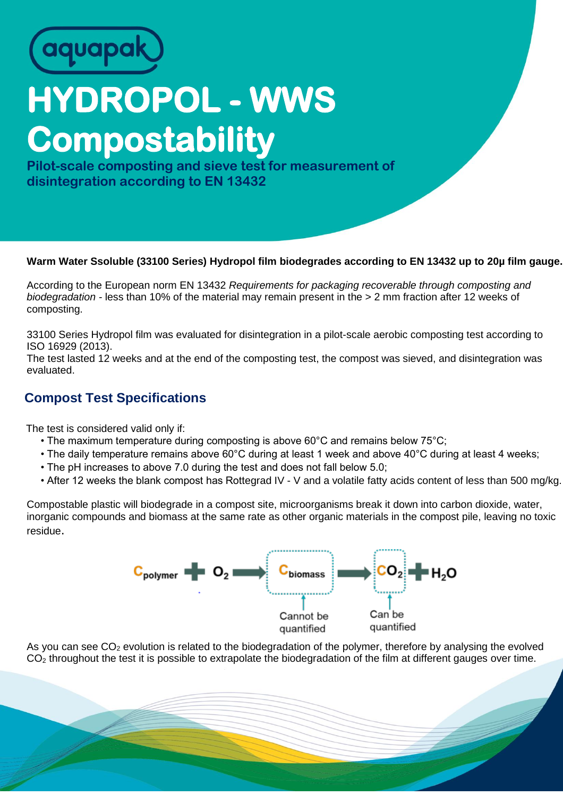

## **HYDROPOL - WWS Compostability**

**Pilot-scale composting and sieve test for measurement of disintegration according to EN 13432**

## **Warm Water Ssoluble (33100 Series) Hydropol film biodegrades according to EN 13432 up to 20µ film gauge.**

According to the European norm EN 13432 *Requirements for packaging recoverable through composting and biodegradation -* less than 10% of the material may remain present in the > 2 mm fraction after 12 weeks of composting.

33100 Series Hydropol film was evaluated for disintegration in a pilot-scale aerobic composting test according to ISO 16929 (2013).

The test lasted 12 weeks and at the end of the composting test, the compost was sieved, and disintegration was evaluated.

## **Compost Test Specifications**

The test is considered valid only if:

- The maximum temperature during composting is above 60°C and remains below 75°C;
- The daily temperature remains above 60°C during at least 1 week and above 40°C during at least 4 weeks;
- The pH increases to above 7.0 during the test and does not fall below 5.0;
- After 12 weeks the blank compost has Rottegrad IV V and a volatile fatty acids content of less than 500 mg/kg.

Compostable plastic will biodegrade in a compost site, microorganisms break it down into carbon dioxide, water, inorganic compounds and biomass at the same rate as other organic materials in the compost pile, leaving no toxic residue.



As you can see  $CO<sub>2</sub>$  evolution is related to the biodegradation of the polymer, therefore by analysing the evolved  $CO<sub>2</sub>$  throughout the test it is possible to extrapolate the biodegradation of the film at different gauges over time.